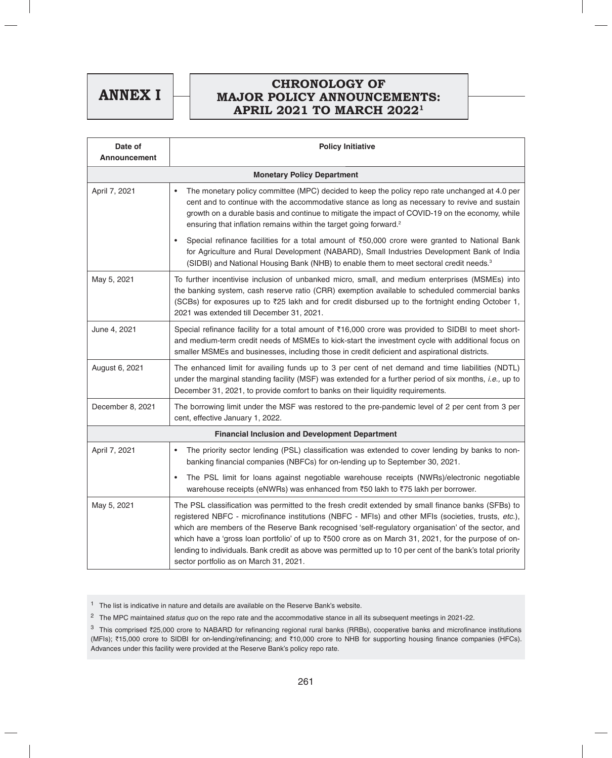

## **CHRONOLOGY OF MAJOR POLICY ANNOUNCEMENTS: APRIL 2021 TO MARCH 20221**

| Date of<br><b>Announcement</b> | <b>Policy Initiative</b>                                                                                                                                                                                                                                                                                                                                                                                                                                                                                                                                                       |
|--------------------------------|--------------------------------------------------------------------------------------------------------------------------------------------------------------------------------------------------------------------------------------------------------------------------------------------------------------------------------------------------------------------------------------------------------------------------------------------------------------------------------------------------------------------------------------------------------------------------------|
|                                | <b>Monetary Policy Department</b>                                                                                                                                                                                                                                                                                                                                                                                                                                                                                                                                              |
| April 7, 2021                  | The monetary policy committee (MPC) decided to keep the policy repo rate unchanged at 4.0 per<br>$\bullet$<br>cent and to continue with the accommodative stance as long as necessary to revive and sustain<br>growth on a durable basis and continue to mitigate the impact of COVID-19 on the economy, while<br>ensuring that inflation remains within the target going forward. <sup>2</sup>                                                                                                                                                                                |
|                                | Special refinance facilities for a total amount of ₹50,000 crore were granted to National Bank<br>$\bullet$<br>for Agriculture and Rural Development (NABARD), Small Industries Development Bank of India<br>(SIDBI) and National Housing Bank (NHB) to enable them to meet sectoral credit needs. <sup>3</sup>                                                                                                                                                                                                                                                                |
| May 5, 2021                    | To further incentivise inclusion of unbanked micro, small, and medium enterprises (MSMEs) into<br>the banking system, cash reserve ratio (CRR) exemption available to scheduled commercial banks<br>(SCBs) for exposures up to ₹25 lakh and for credit disbursed up to the fortnight ending October 1,<br>2021 was extended till December 31, 2021.                                                                                                                                                                                                                            |
| June 4, 2021                   | Special refinance facility for a total amount of ₹16,000 crore was provided to SIDBI to meet short-<br>and medium-term credit needs of MSMEs to kick-start the investment cycle with additional focus on<br>smaller MSMEs and businesses, including those in credit deficient and aspirational districts.                                                                                                                                                                                                                                                                      |
| August 6, 2021                 | The enhanced limit for availing funds up to 3 per cent of net demand and time liabilities (NDTL)<br>under the marginal standing facility (MSF) was extended for a further period of six months, i.e., up to<br>December 31, 2021, to provide comfort to banks on their liquidity requirements.                                                                                                                                                                                                                                                                                 |
| December 8, 2021               | The borrowing limit under the MSF was restored to the pre-pandemic level of 2 per cent from 3 per<br>cent, effective January 1, 2022.                                                                                                                                                                                                                                                                                                                                                                                                                                          |
|                                | <b>Financial Inclusion and Development Department</b>                                                                                                                                                                                                                                                                                                                                                                                                                                                                                                                          |
| April 7, 2021                  | The priority sector lending (PSL) classification was extended to cover lending by banks to non-<br>banking financial companies (NBFCs) for on-lending up to September 30, 2021.                                                                                                                                                                                                                                                                                                                                                                                                |
|                                | The PSL limit for loans against negotiable warehouse receipts (NWRs)/electronic negotiable<br>$\bullet$<br>warehouse receipts (eNWRs) was enhanced from ₹50 lakh to ₹75 lakh per borrower.                                                                                                                                                                                                                                                                                                                                                                                     |
| May 5, 2021                    | The PSL classification was permitted to the fresh credit extended by small finance banks (SFBs) to<br>registered NBFC - microfinance institutions (NBFC - MFIs) and other MFIs (societies, trusts, etc.),<br>which are members of the Reserve Bank recognised 'self-regulatory organisation' of the sector, and<br>which have a 'gross loan portfolio' of up to ₹500 crore as on March 31, 2021, for the purpose of on-<br>lending to individuals. Bank credit as above was permitted up to 10 per cent of the bank's total priority<br>sector portfolio as on March 31, 2021. |

<sup>1</sup> The list is indicative in nature and details are available on the Reserve Bank's website.

2 The MPC maintained *status quo* on the repo rate and the accommodative stance in all its subsequent meetings in 2021-22.

 $3$  This comprised ₹25,000 crore to NABARD for refinancing regional rural banks (RRBs), cooperative banks and microfinance institutions (MFIs); ₹15,000 crore to SIDBI for on-lending/refinancing; and ₹10,000 crore to NHB for supporting housing finance companies (HFCs). Advances under this facility were provided at the Reserve Bank's policy repo rate.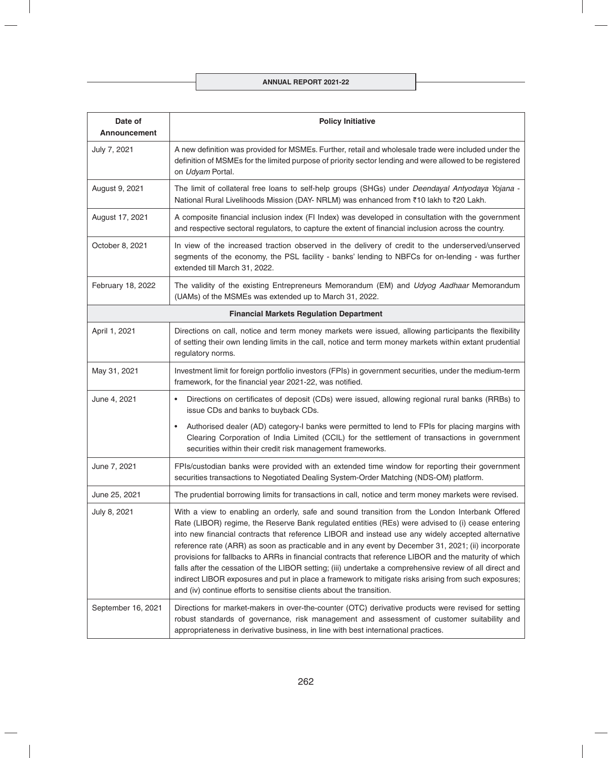| Date of<br><b>Announcement</b> | <b>Policy Initiative</b>                                                                                                                                                                                                                                                                                                                                                                                                                                                                                                                                                                                                                                                                                                                                                                                               |
|--------------------------------|------------------------------------------------------------------------------------------------------------------------------------------------------------------------------------------------------------------------------------------------------------------------------------------------------------------------------------------------------------------------------------------------------------------------------------------------------------------------------------------------------------------------------------------------------------------------------------------------------------------------------------------------------------------------------------------------------------------------------------------------------------------------------------------------------------------------|
| July 7, 2021                   | A new definition was provided for MSMEs. Further, retail and wholesale trade were included under the<br>definition of MSMEs for the limited purpose of priority sector lending and were allowed to be registered<br>on Udyam Portal.                                                                                                                                                                                                                                                                                                                                                                                                                                                                                                                                                                                   |
| August 9, 2021                 | The limit of collateral free loans to self-help groups (SHGs) under Deendayal Antyodaya Yojana -<br>National Rural Livelihoods Mission (DAY- NRLM) was enhanced from ₹10 lakh to ₹20 Lakh.                                                                                                                                                                                                                                                                                                                                                                                                                                                                                                                                                                                                                             |
| August 17, 2021                | A composite financial inclusion index (FI Index) was developed in consultation with the government<br>and respective sectoral regulators, to capture the extent of financial inclusion across the country.                                                                                                                                                                                                                                                                                                                                                                                                                                                                                                                                                                                                             |
| October 8, 2021                | In view of the increased traction observed in the delivery of credit to the underserved/unserved<br>segments of the economy, the PSL facility - banks' lending to NBFCs for on-lending - was further<br>extended till March 31, 2022.                                                                                                                                                                                                                                                                                                                                                                                                                                                                                                                                                                                  |
| February 18, 2022              | The validity of the existing Entrepreneurs Memorandum (EM) and Udyog Aadhaar Memorandum<br>(UAMs) of the MSMEs was extended up to March 31, 2022.                                                                                                                                                                                                                                                                                                                                                                                                                                                                                                                                                                                                                                                                      |
|                                | <b>Financial Markets Regulation Department</b>                                                                                                                                                                                                                                                                                                                                                                                                                                                                                                                                                                                                                                                                                                                                                                         |
| April 1, 2021                  | Directions on call, notice and term money markets were issued, allowing participants the flexibility<br>of setting their own lending limits in the call, notice and term money markets within extant prudential<br>regulatory norms.                                                                                                                                                                                                                                                                                                                                                                                                                                                                                                                                                                                   |
| May 31, 2021                   | Investment limit for foreign portfolio investors (FPIs) in government securities, under the medium-term<br>framework, for the financial year 2021-22, was notified.                                                                                                                                                                                                                                                                                                                                                                                                                                                                                                                                                                                                                                                    |
| June 4, 2021                   | Directions on certificates of deposit (CDs) were issued, allowing regional rural banks (RRBs) to<br>٠<br>issue CDs and banks to buyback CDs.                                                                                                                                                                                                                                                                                                                                                                                                                                                                                                                                                                                                                                                                           |
|                                | Authorised dealer (AD) category-I banks were permitted to lend to FPIs for placing margins with<br>$\bullet$<br>Clearing Corporation of India Limited (CCIL) for the settlement of transactions in government<br>securities within their credit risk management frameworks.                                                                                                                                                                                                                                                                                                                                                                                                                                                                                                                                            |
| June 7, 2021                   | FPIs/custodian banks were provided with an extended time window for reporting their government<br>securities transactions to Negotiated Dealing System-Order Matching (NDS-OM) platform.                                                                                                                                                                                                                                                                                                                                                                                                                                                                                                                                                                                                                               |
| June 25, 2021                  | The prudential borrowing limits for transactions in call, notice and term money markets were revised.                                                                                                                                                                                                                                                                                                                                                                                                                                                                                                                                                                                                                                                                                                                  |
| July 8, 2021                   | With a view to enabling an orderly, safe and sound transition from the London Interbank Offered<br>Rate (LIBOR) regime, the Reserve Bank regulated entities (REs) were advised to (i) cease entering<br>into new financial contracts that reference LIBOR and instead use any widely accepted alternative<br>reference rate (ARR) as soon as practicable and in any event by December 31, 2021; (ii) incorporate<br>provisions for fallbacks to ARRs in financial contracts that reference LIBOR and the maturity of which<br>falls after the cessation of the LIBOR setting; (iii) undertake a comprehensive review of all direct and<br>indirect LIBOR exposures and put in place a framework to mitigate risks arising from such exposures;<br>and (iv) continue efforts to sensitise clients about the transition. |
| September 16, 2021             | Directions for market-makers in over-the-counter (OTC) derivative products were revised for setting<br>robust standards of governance, risk management and assessment of customer suitability and<br>appropriateness in derivative business, in line with best international practices.                                                                                                                                                                                                                                                                                                                                                                                                                                                                                                                                |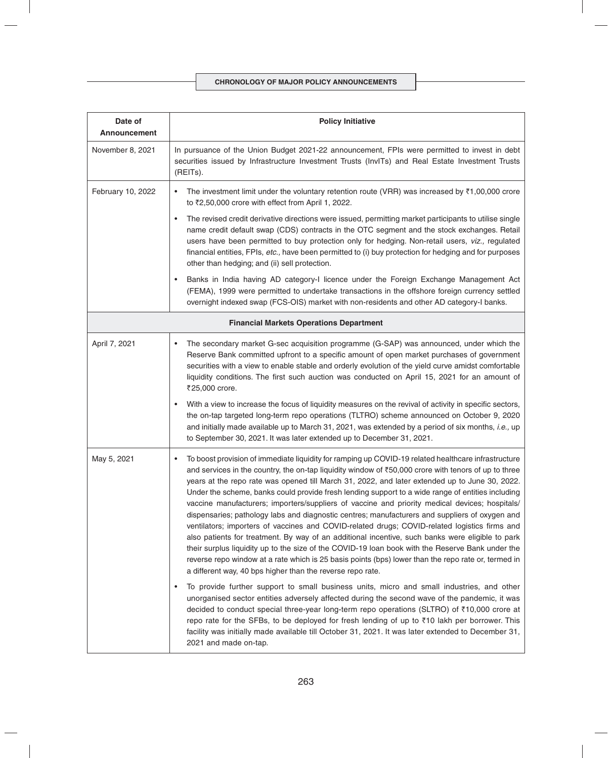| Date of<br><b>Announcement</b> | <b>Policy Initiative</b>                                                                                                                                                                                                                                                                                                                                                                                                                                                                                                                                                                                                                                                                                                                                                                                                                                                                                                                                                                                                                                                                                          |
|--------------------------------|-------------------------------------------------------------------------------------------------------------------------------------------------------------------------------------------------------------------------------------------------------------------------------------------------------------------------------------------------------------------------------------------------------------------------------------------------------------------------------------------------------------------------------------------------------------------------------------------------------------------------------------------------------------------------------------------------------------------------------------------------------------------------------------------------------------------------------------------------------------------------------------------------------------------------------------------------------------------------------------------------------------------------------------------------------------------------------------------------------------------|
| November 8, 2021               | In pursuance of the Union Budget 2021-22 announcement, FPIs were permitted to invest in debt<br>securities issued by Infrastructure Investment Trusts (InvITs) and Real Estate Investment Trusts<br>(REITs).                                                                                                                                                                                                                                                                                                                                                                                                                                                                                                                                                                                                                                                                                                                                                                                                                                                                                                      |
| February 10, 2022              | The investment limit under the voluntary retention route (VRR) was increased by $\bar{\tau}$ 1,00,000 crore<br>$\bullet$<br>to ₹2,50,000 crore with effect from April 1, 2022.                                                                                                                                                                                                                                                                                                                                                                                                                                                                                                                                                                                                                                                                                                                                                                                                                                                                                                                                    |
|                                | The revised credit derivative directions were issued, permitting market participants to utilise single<br>$\bullet$<br>name credit default swap (CDS) contracts in the OTC segment and the stock exchanges. Retail<br>users have been permitted to buy protection only for hedging. Non-retail users, viz., regulated<br>financial entities, FPIs, etc., have been permitted to (i) buy protection for hedging and for purposes<br>other than hedging; and (ii) sell protection.                                                                                                                                                                                                                                                                                                                                                                                                                                                                                                                                                                                                                                  |
|                                | Banks in India having AD category-I licence under the Foreign Exchange Management Act<br>$\bullet$<br>(FEMA), 1999 were permitted to undertake transactions in the offshore foreign currency settled<br>overnight indexed swap (FCS-OIS) market with non-residents and other AD category-I banks.                                                                                                                                                                                                                                                                                                                                                                                                                                                                                                                                                                                                                                                                                                                                                                                                                 |
|                                | <b>Financial Markets Operations Department</b>                                                                                                                                                                                                                                                                                                                                                                                                                                                                                                                                                                                                                                                                                                                                                                                                                                                                                                                                                                                                                                                                    |
| April 7, 2021                  | The secondary market G-sec acquisition programme (G-SAP) was announced, under which the<br>$\bullet$<br>Reserve Bank committed upfront to a specific amount of open market purchases of government<br>securities with a view to enable stable and orderly evolution of the yield curve amidst comfortable<br>liquidity conditions. The first such auction was conducted on April 15, 2021 for an amount of<br>₹25,000 crore.<br>With a view to increase the focus of liquidity measures on the revival of activity in specific sectors,<br>$\bullet$<br>the on-tap targeted long-term repo operations (TLTRO) scheme announced on October 9, 2020<br>and initially made available up to March 31, 2021, was extended by a period of six months, i.e., up                                                                                                                                                                                                                                                                                                                                                          |
|                                | to September 30, 2021. It was later extended up to December 31, 2021.                                                                                                                                                                                                                                                                                                                                                                                                                                                                                                                                                                                                                                                                                                                                                                                                                                                                                                                                                                                                                                             |
| May 5, 2021                    | To boost provision of immediate liquidity for ramping up COVID-19 related healthcare infrastructure<br>$\bullet$<br>and services in the country, the on-tap liquidity window of ₹50,000 crore with tenors of up to three<br>years at the repo rate was opened till March 31, 2022, and later extended up to June 30, 2022.<br>Under the scheme, banks could provide fresh lending support to a wide range of entities including<br>vaccine manufacturers; importers/suppliers of vaccine and priority medical devices; hospitals/<br>dispensaries; pathology labs and diagnostic centres; manufacturers and suppliers of oxygen and<br>ventilators; importers of vaccines and COVID-related drugs; COVID-related logistics firms and<br>also patients for treatment. By way of an additional incentive, such banks were eligible to park<br>their surplus liquidity up to the size of the COVID-19 loan book with the Reserve Bank under the<br>reverse repo window at a rate which is 25 basis points (bps) lower than the repo rate or, termed in<br>a different way, 40 bps higher than the reverse repo rate. |
|                                | To provide further support to small business units, micro and small industries, and other<br>unorganised sector entities adversely affected during the second wave of the pandemic, it was<br>decided to conduct special three-year long-term repo operations (SLTRO) of ₹10,000 crore at<br>repo rate for the SFBs, to be deployed for fresh lending of up to ₹10 lakh per borrower. This<br>facility was initially made available till October 31, 2021. It was later extended to December 31,<br>2021 and made on-tap.                                                                                                                                                                                                                                                                                                                                                                                                                                                                                                                                                                                         |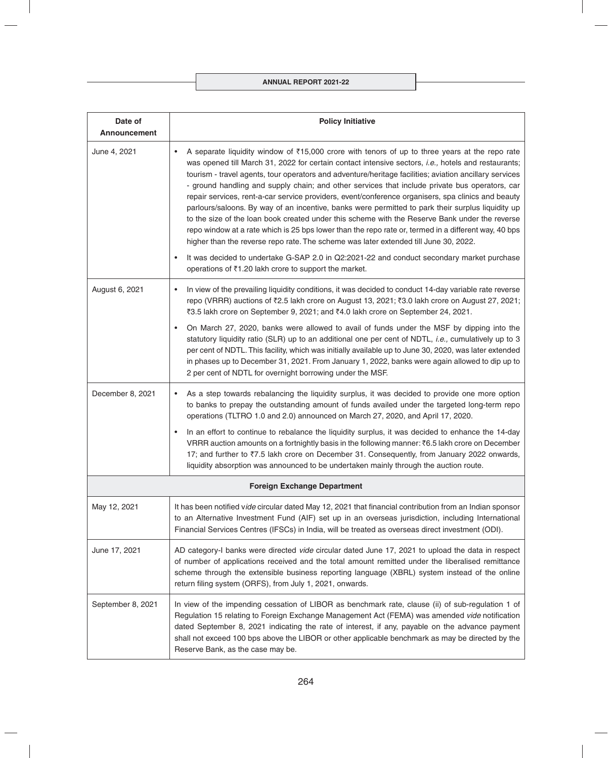## **ANNUAL REPORT 2021-22**

| Date of<br><b>Announcement</b> | <b>Policy Initiative</b>                                                                                                                                                                                                                                                                                                                                                                                                                                                                                                                                                                                                                                                                                                                                                                                                                                                                                                                                                                                                                                                                          |
|--------------------------------|---------------------------------------------------------------------------------------------------------------------------------------------------------------------------------------------------------------------------------------------------------------------------------------------------------------------------------------------------------------------------------------------------------------------------------------------------------------------------------------------------------------------------------------------------------------------------------------------------------------------------------------------------------------------------------------------------------------------------------------------------------------------------------------------------------------------------------------------------------------------------------------------------------------------------------------------------------------------------------------------------------------------------------------------------------------------------------------------------|
| June 4, 2021                   | A separate liquidity window of ₹15,000 crore with tenors of up to three years at the repo rate<br>$\bullet$<br>was opened till March 31, 2022 for certain contact intensive sectors, i.e., hotels and restaurants;<br>tourism - travel agents, tour operators and adventure/heritage facilities; aviation ancillary services<br>- ground handling and supply chain; and other services that include private bus operators, car<br>repair services, rent-a-car service providers, event/conference organisers, spa clinics and beauty<br>parlours/saloons. By way of an incentive, banks were permitted to park their surplus liquidity up<br>to the size of the loan book created under this scheme with the Reserve Bank under the reverse<br>repo window at a rate which is 25 bps lower than the repo rate or, termed in a different way, 40 bps<br>higher than the reverse repo rate. The scheme was later extended till June 30, 2022.<br>It was decided to undertake G-SAP 2.0 in Q2:2021-22 and conduct secondary market purchase<br>operations of ₹1.20 lakh crore to support the market. |
| August 6, 2021                 | In view of the prevailing liquidity conditions, it was decided to conduct 14-day variable rate reverse<br>$\bullet$<br>repo (VRRR) auctions of ₹2.5 lakh crore on August 13, 2021; ₹3.0 lakh crore on August 27, 2021;<br>₹3.5 lakh crore on September 9, 2021; and ₹4.0 lakh crore on September 24, 2021.                                                                                                                                                                                                                                                                                                                                                                                                                                                                                                                                                                                                                                                                                                                                                                                        |
|                                | On March 27, 2020, banks were allowed to avail of funds under the MSF by dipping into the<br>$\bullet$<br>statutory liquidity ratio (SLR) up to an additional one per cent of NDTL, i.e., cumulatively up to 3<br>per cent of NDTL. This facility, which was initially available up to June 30, 2020, was later extended<br>in phases up to December 31, 2021. From January 1, 2022, banks were again allowed to dip up to<br>2 per cent of NDTL for overnight borrowing under the MSF.                                                                                                                                                                                                                                                                                                                                                                                                                                                                                                                                                                                                           |
| December 8, 2021               | As a step towards rebalancing the liquidity surplus, it was decided to provide one more option<br>$\bullet$<br>to banks to prepay the outstanding amount of funds availed under the targeted long-term repo<br>operations (TLTRO 1.0 and 2.0) announced on March 27, 2020, and April 17, 2020.                                                                                                                                                                                                                                                                                                                                                                                                                                                                                                                                                                                                                                                                                                                                                                                                    |
|                                | In an effort to continue to rebalance the liquidity surplus, it was decided to enhance the 14-day<br>VRRR auction amounts on a fortnightly basis in the following manner: ₹6.5 lakh crore on December<br>17; and further to ₹7.5 lakh crore on December 31. Consequently, from January 2022 onwards,<br>liquidity absorption was announced to be undertaken mainly through the auction route.                                                                                                                                                                                                                                                                                                                                                                                                                                                                                                                                                                                                                                                                                                     |
|                                | <b>Foreign Exchange Department</b>                                                                                                                                                                                                                                                                                                                                                                                                                                                                                                                                                                                                                                                                                                                                                                                                                                                                                                                                                                                                                                                                |
| May 12, 2021                   | It has been notified vide circular dated May 12, 2021 that financial contribution from an Indian sponsor<br>to an Alternative Investment Fund (AIF) set up in an overseas jurisdiction, including International<br>Financial Services Centres (IFSCs) in India, will be treated as overseas direct investment (ODI).                                                                                                                                                                                                                                                                                                                                                                                                                                                                                                                                                                                                                                                                                                                                                                              |
| June 17, 2021                  | AD category-I banks were directed vide circular dated June 17, 2021 to upload the data in respect<br>of number of applications received and the total amount remitted under the liberalised remittance<br>scheme through the extensible business reporting language (XBRL) system instead of the online<br>return filing system (ORFS), from July 1, 2021, onwards.                                                                                                                                                                                                                                                                                                                                                                                                                                                                                                                                                                                                                                                                                                                               |
| September 8, 2021              | In view of the impending cessation of LIBOR as benchmark rate, clause (ii) of sub-regulation 1 of<br>Regulation 15 relating to Foreign Exchange Management Act (FEMA) was amended vide notification<br>dated September 8, 2021 indicating the rate of interest, if any, payable on the advance payment<br>shall not exceed 100 bps above the LIBOR or other applicable benchmark as may be directed by the<br>Reserve Bank, as the case may be.                                                                                                                                                                                                                                                                                                                                                                                                                                                                                                                                                                                                                                                   |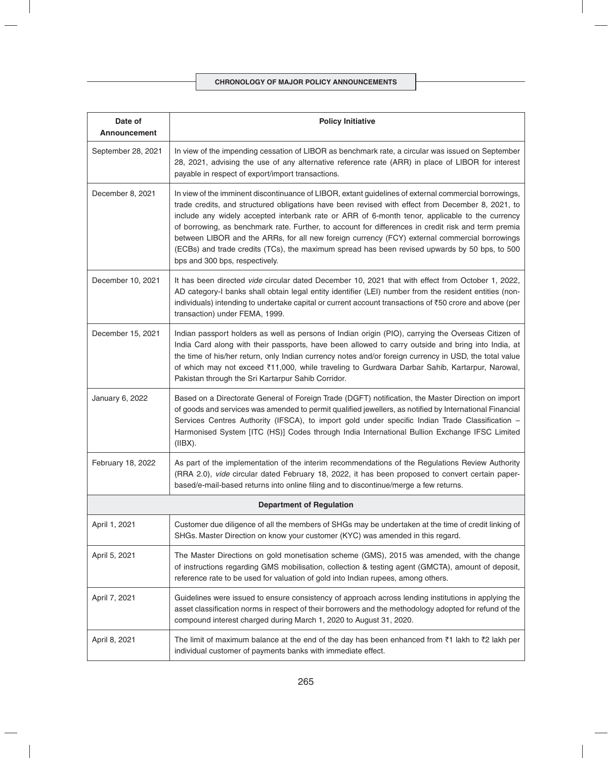| Date of<br><b>Announcement</b> | <b>Policy Initiative</b>                                                                                                                                                                                                                                                                                                                                                                                                                                                                                                                                                                                                                                |  |  |
|--------------------------------|---------------------------------------------------------------------------------------------------------------------------------------------------------------------------------------------------------------------------------------------------------------------------------------------------------------------------------------------------------------------------------------------------------------------------------------------------------------------------------------------------------------------------------------------------------------------------------------------------------------------------------------------------------|--|--|
| September 28, 2021             | In view of the impending cessation of LIBOR as benchmark rate, a circular was issued on September<br>28, 2021, advising the use of any alternative reference rate (ARR) in place of LIBOR for interest<br>payable in respect of export/import transactions.                                                                                                                                                                                                                                                                                                                                                                                             |  |  |
| December 8, 2021               | In view of the imminent discontinuance of LIBOR, extant guidelines of external commercial borrowings,<br>trade credits, and structured obligations have been revised with effect from December 8, 2021, to<br>include any widely accepted interbank rate or ARR of 6-month tenor, applicable to the currency<br>of borrowing, as benchmark rate. Further, to account for differences in credit risk and term premia<br>between LIBOR and the ARRs, for all new foreign currency (FCY) external commercial borrowings<br>(ECBs) and trade credits (TCs), the maximum spread has been revised upwards by 50 bps, to 500<br>bps and 300 bps, respectively. |  |  |
| December 10, 2021              | It has been directed vide circular dated December 10, 2021 that with effect from October 1, 2022,<br>AD category-I banks shall obtain legal entity identifier (LEI) number from the resident entities (non-<br>individuals) intending to undertake capital or current account transactions of ₹50 crore and above (per<br>transaction) under FEMA, 1999.                                                                                                                                                                                                                                                                                                |  |  |
| December 15, 2021              | Indian passport holders as well as persons of Indian origin (PIO), carrying the Overseas Citizen of<br>India Card along with their passports, have been allowed to carry outside and bring into India, at<br>the time of his/her return, only Indian currency notes and/or foreign currency in USD, the total value<br>of which may not exceed ₹11,000, while traveling to Gurdwara Darbar Sahib, Kartarpur, Narowal,<br>Pakistan through the Sri Kartarpur Sahib Corridor.                                                                                                                                                                             |  |  |
| January 6, 2022                | Based on a Directorate General of Foreign Trade (DGFT) notification, the Master Direction on import<br>of goods and services was amended to permit qualified jewellers, as notified by International Financial<br>Services Centres Authority (IFSCA), to import gold under specific Indian Trade Classification -<br>Harmonised System [ITC (HS)] Codes through India International Bullion Exchange IFSC Limited<br>(IIBX).                                                                                                                                                                                                                            |  |  |
| February 18, 2022              | As part of the implementation of the interim recommendations of the Regulations Review Authority<br>(RRA 2.0), vide circular dated February 18, 2022, it has been proposed to convert certain paper-<br>based/e-mail-based returns into online filing and to discontinue/merge a few returns.                                                                                                                                                                                                                                                                                                                                                           |  |  |
|                                | <b>Department of Regulation</b>                                                                                                                                                                                                                                                                                                                                                                                                                                                                                                                                                                                                                         |  |  |
| April 1, 2021                  | Customer due diligence of all the members of SHGs may be undertaken at the time of credit linking of<br>SHGs. Master Direction on know your customer (KYC) was amended in this regard.                                                                                                                                                                                                                                                                                                                                                                                                                                                                  |  |  |
| April 5, 2021                  | The Master Directions on gold monetisation scheme (GMS), 2015 was amended, with the change<br>of instructions regarding GMS mobilisation, collection & testing agent (GMCTA), amount of deposit,<br>reference rate to be used for valuation of gold into Indian rupees, among others.                                                                                                                                                                                                                                                                                                                                                                   |  |  |
| April 7, 2021                  | Guidelines were issued to ensure consistency of approach across lending institutions in applying the<br>asset classification norms in respect of their borrowers and the methodology adopted for refund of the<br>compound interest charged during March 1, 2020 to August 31, 2020.                                                                                                                                                                                                                                                                                                                                                                    |  |  |
| April 8, 2021                  | The limit of maximum balance at the end of the day has been enhanced from ₹1 lakh to ₹2 lakh per<br>individual customer of payments banks with immediate effect.                                                                                                                                                                                                                                                                                                                                                                                                                                                                                        |  |  |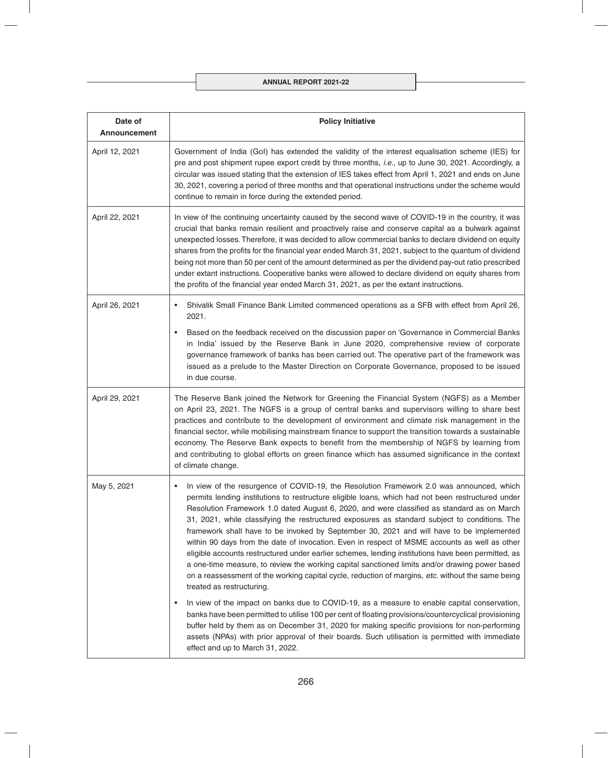| Date of<br><b>Announcement</b> | <b>Policy Initiative</b>                                                                                                                                                                                                                                                                                                                                                                                                                                                                                                                                                                                                                                                                                                                                                                                                                                                                                                                 |
|--------------------------------|------------------------------------------------------------------------------------------------------------------------------------------------------------------------------------------------------------------------------------------------------------------------------------------------------------------------------------------------------------------------------------------------------------------------------------------------------------------------------------------------------------------------------------------------------------------------------------------------------------------------------------------------------------------------------------------------------------------------------------------------------------------------------------------------------------------------------------------------------------------------------------------------------------------------------------------|
| April 12, 2021                 | Government of India (GoI) has extended the validity of the interest equalisation scheme (IES) for<br>pre and post shipment rupee export credit by three months, i.e., up to June 30, 2021. Accordingly, a<br>circular was issued stating that the extension of IES takes effect from April 1, 2021 and ends on June<br>30, 2021, covering a period of three months and that operational instructions under the scheme would<br>continue to remain in force during the extended period.                                                                                                                                                                                                                                                                                                                                                                                                                                                   |
| April 22, 2021                 | In view of the continuing uncertainty caused by the second wave of COVID-19 in the country, it was<br>crucial that banks remain resilient and proactively raise and conserve capital as a bulwark against<br>unexpected losses. Therefore, it was decided to allow commercial banks to declare dividend on equity<br>shares from the profits for the financial year ended March 31, 2021, subject to the quantum of dividend<br>being not more than 50 per cent of the amount determined as per the dividend pay-out ratio prescribed<br>under extant instructions. Cooperative banks were allowed to declare dividend on equity shares from<br>the profits of the financial year ended March 31, 2021, as per the extant instructions.                                                                                                                                                                                                  |
| April 26, 2021                 | Shivalik Small Finance Bank Limited commenced operations as a SFB with effect from April 26,<br>$\bullet$<br>2021.                                                                                                                                                                                                                                                                                                                                                                                                                                                                                                                                                                                                                                                                                                                                                                                                                       |
|                                | Based on the feedback received on the discussion paper on 'Governance in Commercial Banks<br>in India' issued by the Reserve Bank in June 2020, comprehensive review of corporate<br>governance framework of banks has been carried out. The operative part of the framework was<br>issued as a prelude to the Master Direction on Corporate Governance, proposed to be issued<br>in due course.                                                                                                                                                                                                                                                                                                                                                                                                                                                                                                                                         |
| April 29, 2021                 | The Reserve Bank joined the Network for Greening the Financial System (NGFS) as a Member<br>on April 23, 2021. The NGFS is a group of central banks and supervisors willing to share best<br>practices and contribute to the development of environment and climate risk management in the<br>financial sector, while mobilising mainstream finance to support the transition towards a sustainable<br>economy. The Reserve Bank expects to benefit from the membership of NGFS by learning from<br>and contributing to global efforts on green finance which has assumed significance in the context<br>of climate change.                                                                                                                                                                                                                                                                                                              |
| May 5, 2021                    | In view of the resurgence of COVID-19, the Resolution Framework 2.0 was announced, which<br>٠<br>permits lending institutions to restructure eligible loans, which had not been restructured under<br>Resolution Framework 1.0 dated August 6, 2020, and were classified as standard as on March<br>31, 2021, while classifying the restructured exposures as standard subject to conditions. The<br>framework shall have to be invoked by September 30, 2021 and will have to be implemented<br>within 90 days from the date of invocation. Even in respect of MSME accounts as well as other<br>eligible accounts restructured under earlier schemes, lending institutions have been permitted, as<br>a one-time measure, to review the working capital sanctioned limits and/or drawing power based<br>on a reassessment of the working capital cycle, reduction of margins, etc. without the same being<br>treated as restructuring. |
|                                | In view of the impact on banks due to COVID-19, as a measure to enable capital conservation,<br>٠<br>banks have been permitted to utilise 100 per cent of floating provisions/countercyclical provisioning<br>buffer held by them as on December 31, 2020 for making specific provisions for non-performing<br>assets (NPAs) with prior approval of their boards. Such utilisation is permitted with immediate<br>effect and up to March 31, 2022.                                                                                                                                                                                                                                                                                                                                                                                                                                                                                       |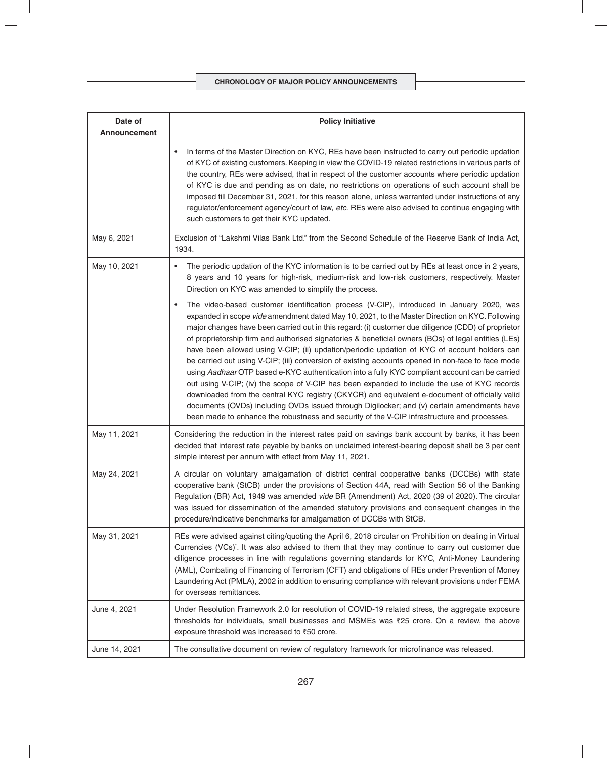| Date of<br><b>Announcement</b> | <b>Policy Initiative</b>                                                                                                                                                                                                                                                                                                                                                                                                                                                                                                                                                                                                                                                                                                                                                                                                                                                                                                                                                                                                                                                                                      |
|--------------------------------|---------------------------------------------------------------------------------------------------------------------------------------------------------------------------------------------------------------------------------------------------------------------------------------------------------------------------------------------------------------------------------------------------------------------------------------------------------------------------------------------------------------------------------------------------------------------------------------------------------------------------------------------------------------------------------------------------------------------------------------------------------------------------------------------------------------------------------------------------------------------------------------------------------------------------------------------------------------------------------------------------------------------------------------------------------------------------------------------------------------|
|                                | In terms of the Master Direction on KYC, REs have been instructed to carry out periodic updation<br>of KYC of existing customers. Keeping in view the COVID-19 related restrictions in various parts of<br>the country, REs were advised, that in respect of the customer accounts where periodic updation<br>of KYC is due and pending as on date, no restrictions on operations of such account shall be<br>imposed till December 31, 2021, for this reason alone, unless warranted under instructions of any<br>regulator/enforcement agency/court of law, etc. REs were also advised to continue engaging with<br>such customers to get their KYC updated.                                                                                                                                                                                                                                                                                                                                                                                                                                                |
| May 6, 2021                    | Exclusion of "Lakshmi Vilas Bank Ltd." from the Second Schedule of the Reserve Bank of India Act,<br>1934.                                                                                                                                                                                                                                                                                                                                                                                                                                                                                                                                                                                                                                                                                                                                                                                                                                                                                                                                                                                                    |
| May 10, 2021                   | The periodic updation of the KYC information is to be carried out by REs at least once in 2 years,<br>8 years and 10 years for high-risk, medium-risk and low-risk customers, respectively. Master<br>Direction on KYC was amended to simplify the process.                                                                                                                                                                                                                                                                                                                                                                                                                                                                                                                                                                                                                                                                                                                                                                                                                                                   |
|                                | The video-based customer identification process (V-CIP), introduced in January 2020, was<br>expanded in scope vide amendment dated May 10, 2021, to the Master Direction on KYC. Following<br>major changes have been carried out in this regard: (i) customer due diligence (CDD) of proprietor<br>of proprietorship firm and authorised signatories & beneficial owners (BOs) of legal entities (LEs)<br>have been allowed using V-CIP; (ii) updation/periodic updation of KYC of account holders can<br>be carried out using V-CIP; (iii) conversion of existing accounts opened in non-face to face mode<br>using Aadhaar OTP based e-KYC authentication into a fully KYC compliant account can be carried<br>out using V-CIP; (iv) the scope of V-CIP has been expanded to include the use of KYC records<br>downloaded from the central KYC registry (CKYCR) and equivalent e-document of officially valid<br>documents (OVDs) including OVDs issued through Digilocker; and (v) certain amendments have<br>been made to enhance the robustness and security of the V-CIP infrastructure and processes. |
| May 11, 2021                   | Considering the reduction in the interest rates paid on savings bank account by banks, it has been<br>decided that interest rate payable by banks on unclaimed interest-bearing deposit shall be 3 per cent<br>simple interest per annum with effect from May 11, 2021.                                                                                                                                                                                                                                                                                                                                                                                                                                                                                                                                                                                                                                                                                                                                                                                                                                       |
| May 24, 2021                   | A circular on voluntary amalgamation of district central cooperative banks (DCCBs) with state<br>cooperative bank (StCB) under the provisions of Section 44A, read with Section 56 of the Banking<br>Regulation (BR) Act, 1949 was amended <i>vide</i> BR (Amendment) Act, 2020 (39 of 2020). The circular<br>was issued for dissemination of the amended statutory provisions and consequent changes in the<br>procedure/indicative benchmarks for amalgamation of DCCBs with StCB.                                                                                                                                                                                                                                                                                                                                                                                                                                                                                                                                                                                                                          |
| May 31, 2021                   | REs were advised against citing/quoting the April 6, 2018 circular on 'Prohibition on dealing in Virtual<br>Currencies (VCs)'. It was also advised to them that they may continue to carry out customer due<br>diligence processes in line with regulations governing standards for KYC, Anti-Money Laundering<br>(AML), Combating of Financing of Terrorism (CFT) and obligations of REs under Prevention of Money<br>Laundering Act (PMLA), 2002 in addition to ensuring compliance with relevant provisions under FEMA<br>for overseas remittances.                                                                                                                                                                                                                                                                                                                                                                                                                                                                                                                                                        |
| June 4, 2021                   | Under Resolution Framework 2.0 for resolution of COVID-19 related stress, the aggregate exposure<br>thresholds for individuals, small businesses and MSMEs was ₹25 crore. On a review, the above<br>exposure threshold was increased to ₹50 crore.                                                                                                                                                                                                                                                                                                                                                                                                                                                                                                                                                                                                                                                                                                                                                                                                                                                            |
| June 14, 2021                  | The consultative document on review of regulatory framework for microfinance was released.                                                                                                                                                                                                                                                                                                                                                                                                                                                                                                                                                                                                                                                                                                                                                                                                                                                                                                                                                                                                                    |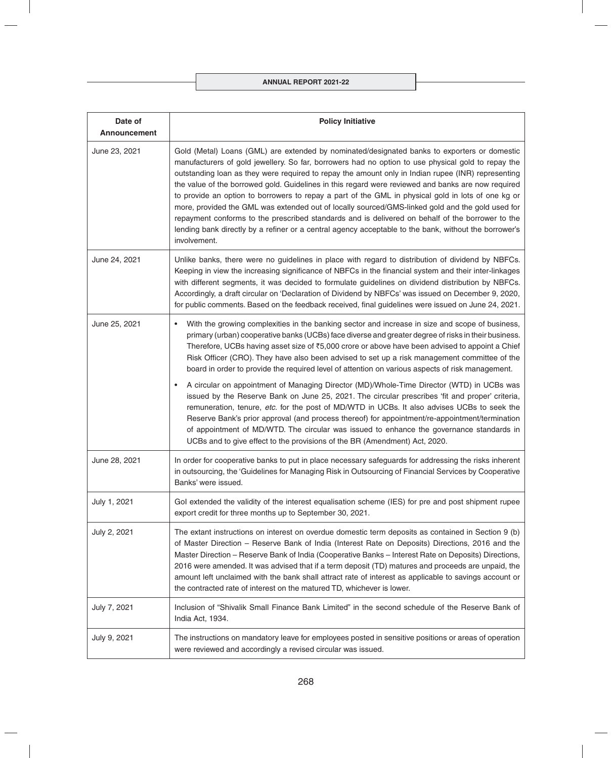| Date of<br><b>Announcement</b> | <b>Policy Initiative</b>                                                                                                                                                                                                                                                                                                                                                                                                                                                                                                                                                                                                                                                                                                                                                                                                                                                                                                                                                                                                                                                                  |
|--------------------------------|-------------------------------------------------------------------------------------------------------------------------------------------------------------------------------------------------------------------------------------------------------------------------------------------------------------------------------------------------------------------------------------------------------------------------------------------------------------------------------------------------------------------------------------------------------------------------------------------------------------------------------------------------------------------------------------------------------------------------------------------------------------------------------------------------------------------------------------------------------------------------------------------------------------------------------------------------------------------------------------------------------------------------------------------------------------------------------------------|
| June 23, 2021                  | Gold (Metal) Loans (GML) are extended by nominated/designated banks to exporters or domestic<br>manufacturers of gold jewellery. So far, borrowers had no option to use physical gold to repay the<br>outstanding loan as they were required to repay the amount only in Indian rupee (INR) representing<br>the value of the borrowed gold. Guidelines in this regard were reviewed and banks are now required<br>to provide an option to borrowers to repay a part of the GML in physical gold in lots of one kg or<br>more, provided the GML was extended out of locally sourced/GMS-linked gold and the gold used for<br>repayment conforms to the prescribed standards and is delivered on behalf of the borrower to the<br>lending bank directly by a refiner or a central agency acceptable to the bank, without the borrower's<br>involvement.                                                                                                                                                                                                                                     |
| June 24, 2021                  | Unlike banks, there were no guidelines in place with regard to distribution of dividend by NBFCs.<br>Keeping in view the increasing significance of NBFCs in the financial system and their inter-linkages<br>with different segments, it was decided to formulate guidelines on dividend distribution by NBFCs.<br>Accordingly, a draft circular on 'Declaration of Dividend by NBFCs' was issued on December 9, 2020,<br>for public comments. Based on the feedback received, final guidelines were issued on June 24, 2021.                                                                                                                                                                                                                                                                                                                                                                                                                                                                                                                                                            |
| June 25, 2021                  | With the growing complexities in the banking sector and increase in size and scope of business,<br>primary (urban) cooperative banks (UCBs) face diverse and greater degree of risks in their business.<br>Therefore, UCBs having asset size of ₹5,000 crore or above have been advised to appoint a Chief<br>Risk Officer (CRO). They have also been advised to set up a risk management committee of the<br>board in order to provide the required level of attention on various aspects of risk management.<br>A circular on appointment of Managing Director (MD)/Whole-Time Director (WTD) in UCBs was<br>issued by the Reserve Bank on June 25, 2021. The circular prescribes 'fit and proper' criteria,<br>remuneration, tenure, etc. for the post of MD/WTD in UCBs. It also advises UCBs to seek the<br>Reserve Bank's prior approval (and process thereof) for appointment/re-appointment/termination<br>of appointment of MD/WTD. The circular was issued to enhance the governance standards in<br>UCBs and to give effect to the provisions of the BR (Amendment) Act, 2020. |
| June 28, 2021                  | In order for cooperative banks to put in place necessary safeguards for addressing the risks inherent<br>in outsourcing, the 'Guidelines for Managing Risk in Outsourcing of Financial Services by Cooperative<br>Banks' were issued.                                                                                                                                                                                                                                                                                                                                                                                                                                                                                                                                                                                                                                                                                                                                                                                                                                                     |
| July 1, 2021                   | Gol extended the validity of the interest equalisation scheme (IES) for pre and post shipment rupee<br>export credit for three months up to September 30, 2021.                                                                                                                                                                                                                                                                                                                                                                                                                                                                                                                                                                                                                                                                                                                                                                                                                                                                                                                           |
| July 2, 2021                   | The extant instructions on interest on overdue domestic term deposits as contained in Section 9 (b)<br>of Master Direction - Reserve Bank of India (Interest Rate on Deposits) Directions, 2016 and the<br>Master Direction - Reserve Bank of India (Cooperative Banks - Interest Rate on Deposits) Directions,<br>2016 were amended. It was advised that if a term deposit (TD) matures and proceeds are unpaid, the<br>amount left unclaimed with the bank shall attract rate of interest as applicable to savings account or<br>the contracted rate of interest on the matured TD, whichever is lower.                                                                                                                                                                                                                                                                                                                                                                                                                                                                                 |
| July 7, 2021                   | Inclusion of "Shivalik Small Finance Bank Limited" in the second schedule of the Reserve Bank of<br>India Act, 1934.                                                                                                                                                                                                                                                                                                                                                                                                                                                                                                                                                                                                                                                                                                                                                                                                                                                                                                                                                                      |
| July 9, 2021                   | The instructions on mandatory leave for employees posted in sensitive positions or areas of operation<br>were reviewed and accordingly a revised circular was issued.                                                                                                                                                                                                                                                                                                                                                                                                                                                                                                                                                                                                                                                                                                                                                                                                                                                                                                                     |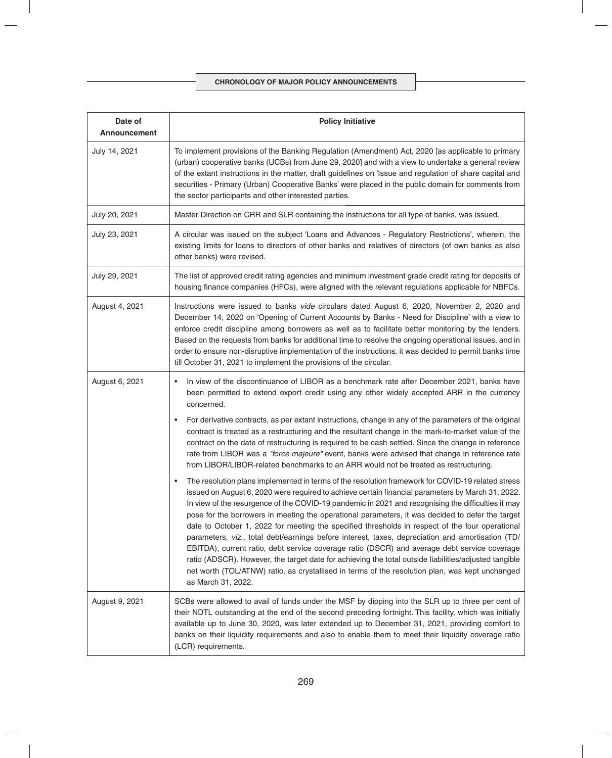| Date of<br><b>Announcement</b> | <b>Policy Initiative</b>                                                                                                                                                                                                                                                                                                                                                                                                                                                                                                                                                                                                                                                                                                                                                                                                                                                                                                                                  |
|--------------------------------|-----------------------------------------------------------------------------------------------------------------------------------------------------------------------------------------------------------------------------------------------------------------------------------------------------------------------------------------------------------------------------------------------------------------------------------------------------------------------------------------------------------------------------------------------------------------------------------------------------------------------------------------------------------------------------------------------------------------------------------------------------------------------------------------------------------------------------------------------------------------------------------------------------------------------------------------------------------|
| July 14, 2021                  | To implement provisions of the Banking Regulation (Amendment) Act, 2020 [as applicable to primary<br>(urban) cooperative banks (UCBs) from June 29, 2020] and with a view to undertake a general review<br>of the extant instructions in the matter, draft guidelines on 'Issue and regulation of share capital and<br>securities - Primary (Urban) Cooperative Banks' were placed in the public domain for comments from<br>the sector participants and other interested parties.                                                                                                                                                                                                                                                                                                                                                                                                                                                                        |
| July 20, 2021                  | Master Direction on CRR and SLR containing the instructions for all type of banks, was issued.                                                                                                                                                                                                                                                                                                                                                                                                                                                                                                                                                                                                                                                                                                                                                                                                                                                            |
| July 23, 2021                  | A circular was issued on the subject 'Loans and Advances - Regulatory Restrictions', wherein, the<br>existing limits for loans to directors of other banks and relatives of directors (of own banks as also<br>other banks) were revised.                                                                                                                                                                                                                                                                                                                                                                                                                                                                                                                                                                                                                                                                                                                 |
| July 29, 2021                  | The list of approved credit rating agencies and minimum investment grade credit rating for deposits of<br>housing finance companies (HFCs), were aligned with the relevant regulations applicable for NBFCs.                                                                                                                                                                                                                                                                                                                                                                                                                                                                                                                                                                                                                                                                                                                                              |
| August 4, 2021                 | Instructions were issued to banks vide circulars dated August 6, 2020, November 2, 2020 and<br>December 14, 2020 on 'Opening of Current Accounts by Banks - Need for Discipline' with a view to<br>enforce credit discipline among borrowers as well as to facilitate better monitoring by the lenders.<br>Based on the requests from banks for additional time to resolve the ongoing operational issues, and in<br>order to ensure non-disruptive implementation of the instructions, it was decided to permit banks time<br>till October 31, 2021 to implement the provisions of the circular.                                                                                                                                                                                                                                                                                                                                                         |
| August 6, 2021                 | In view of the discontinuance of LIBOR as a benchmark rate after December 2021, banks have<br>$\bullet$<br>been permitted to extend export credit using any other widely accepted ARR in the currency<br>concerned.                                                                                                                                                                                                                                                                                                                                                                                                                                                                                                                                                                                                                                                                                                                                       |
|                                | For derivative contracts, as per extant instructions, change in any of the parameters of the original<br>$\bullet$<br>contract is treated as a restructuring and the resultant change in the mark-to-market value of the<br>contract on the date of restructuring is required to be cash settled. Since the change in reference<br>rate from LIBOR was a "force majeure" event, banks were advised that change in reference rate<br>from LIBOR/LIBOR-related benchmarks to an ARR would not be treated as restructuring.                                                                                                                                                                                                                                                                                                                                                                                                                                  |
|                                | The resolution plans implemented in terms of the resolution framework for COVID-19 related stress<br>issued on August 6, 2020 were required to achieve certain financial parameters by March 31, 2022.<br>In view of the resurgence of the COVID-19 pandemic in 2021 and recognising the difficulties it may<br>pose for the borrowers in meeting the operational parameters, it was decided to defer the target<br>date to October 1, 2022 for meeting the specified thresholds in respect of the four operational<br>parameters, viz., total debt/earnings before interest, taxes, depreciation and amortisation (TD/<br>EBITDA), current ratio, debt service coverage ratio (DSCR) and average debt service coverage<br>ratio (ADSCR). However, the target date for achieving the total outside liabilities/adjusted tangible<br>net worth (TOL/ATNW) ratio, as crystallised in terms of the resolution plan, was kept unchanged<br>as March 31, 2022. |
| August 9, 2021                 | SCBs were allowed to avail of funds under the MSF by dipping into the SLR up to three per cent of<br>their NDTL outstanding at the end of the second preceding fortnight. This facility, which was initially<br>available up to June 30, 2020, was later extended up to December 31, 2021, providing comfort to<br>banks on their liquidity requirements and also to enable them to meet their liquidity coverage ratio<br>(LCR) requirements.                                                                                                                                                                                                                                                                                                                                                                                                                                                                                                            |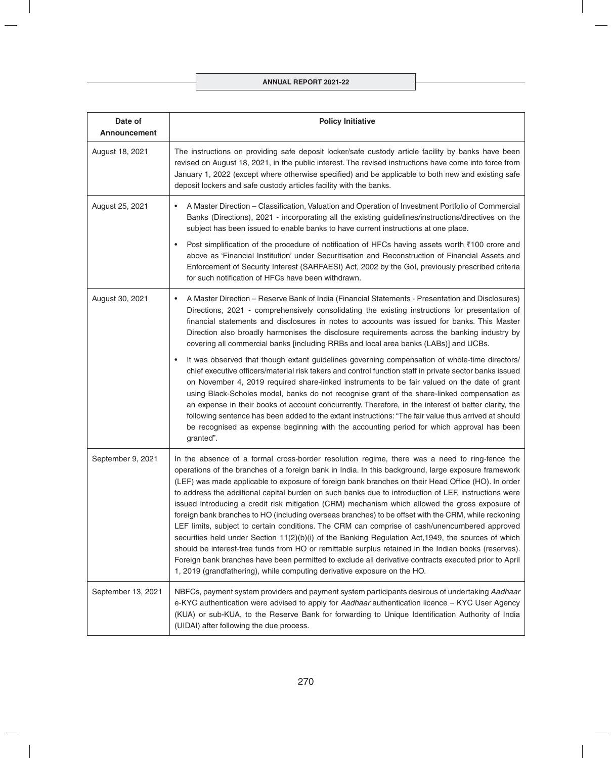## **ANNUAL REPORT 2021-22**

| Date of<br><b>Announcement</b> | <b>Policy Initiative</b>                                                                                                                                                                                                                                                                                                                                                                                                                                                                                                                                                                                                                                                                                                                                                                                                                                                                                                                                                                                                                                                                                                           |
|--------------------------------|------------------------------------------------------------------------------------------------------------------------------------------------------------------------------------------------------------------------------------------------------------------------------------------------------------------------------------------------------------------------------------------------------------------------------------------------------------------------------------------------------------------------------------------------------------------------------------------------------------------------------------------------------------------------------------------------------------------------------------------------------------------------------------------------------------------------------------------------------------------------------------------------------------------------------------------------------------------------------------------------------------------------------------------------------------------------------------------------------------------------------------|
| August 18, 2021                | The instructions on providing safe deposit locker/safe custody article facility by banks have been<br>revised on August 18, 2021, in the public interest. The revised instructions have come into force from<br>January 1, 2022 (except where otherwise specified) and be applicable to both new and existing safe<br>deposit lockers and safe custody articles facility with the banks.                                                                                                                                                                                                                                                                                                                                                                                                                                                                                                                                                                                                                                                                                                                                           |
| August 25, 2021                | A Master Direction - Classification, Valuation and Operation of Investment Portfolio of Commercial<br>٠<br>Banks (Directions), 2021 - incorporating all the existing guidelines/instructions/directives on the<br>subject has been issued to enable banks to have current instructions at one place.                                                                                                                                                                                                                                                                                                                                                                                                                                                                                                                                                                                                                                                                                                                                                                                                                               |
|                                | Post simplification of the procedure of notification of HFCs having assets worth ₹100 crore and<br>$\bullet$<br>above as 'Financial Institution' under Securitisation and Reconstruction of Financial Assets and<br>Enforcement of Security Interest (SARFAESI) Act, 2002 by the Gol, previously prescribed criteria<br>for such notification of HFCs have been withdrawn.                                                                                                                                                                                                                                                                                                                                                                                                                                                                                                                                                                                                                                                                                                                                                         |
| August 30, 2021                | A Master Direction - Reserve Bank of India (Financial Statements - Presentation and Disclosures)<br>Directions, 2021 - comprehensively consolidating the existing instructions for presentation of<br>financial statements and disclosures in notes to accounts was issued for banks. This Master<br>Direction also broadly harmonises the disclosure requirements across the banking industry by<br>covering all commercial banks [including RRBs and local area banks (LABs)] and UCBs.                                                                                                                                                                                                                                                                                                                                                                                                                                                                                                                                                                                                                                          |
|                                | It was observed that though extant guidelines governing compensation of whole-time directors/<br>chief executive officers/material risk takers and control function staff in private sector banks issued<br>on November 4, 2019 required share-linked instruments to be fair valued on the date of grant<br>using Black-Scholes model, banks do not recognise grant of the share-linked compensation as<br>an expense in their books of account concurrently. Therefore, in the interest of better clarity, the<br>following sentence has been added to the extant instructions: "The fair value thus arrived at should<br>be recognised as expense beginning with the accounting period for which approval has been<br>granted".                                                                                                                                                                                                                                                                                                                                                                                                  |
| September 9, 2021              | In the absence of a formal cross-border resolution regime, there was a need to ring-fence the<br>operations of the branches of a foreign bank in India. In this background, large exposure framework<br>(LEF) was made applicable to exposure of foreign bank branches on their Head Office (HO). In order<br>to address the additional capital burden on such banks due to introduction of LEF, instructions were<br>issued introducing a credit risk mitigation (CRM) mechanism which allowed the gross exposure of<br>foreign bank branches to HO (including overseas branches) to be offset with the CRM, while reckoning<br>LEF limits, subject to certain conditions. The CRM can comprise of cash/unencumbered approved<br>securities held under Section 11(2)(b)(i) of the Banking Regulation Act, 1949, the sources of which<br>should be interest-free funds from HO or remittable surplus retained in the Indian books (reserves).<br>Foreign bank branches have been permitted to exclude all derivative contracts executed prior to April<br>1, 2019 (grandfathering), while computing derivative exposure on the HO. |
| September 13, 2021             | NBFCs, payment system providers and payment system participants desirous of undertaking Aadhaar<br>e-KYC authentication were advised to apply for Aadhaar authentication licence - KYC User Agency<br>(KUA) or sub-KUA, to the Reserve Bank for forwarding to Unique Identification Authority of India<br>(UIDAI) after following the due process.                                                                                                                                                                                                                                                                                                                                                                                                                                                                                                                                                                                                                                                                                                                                                                                 |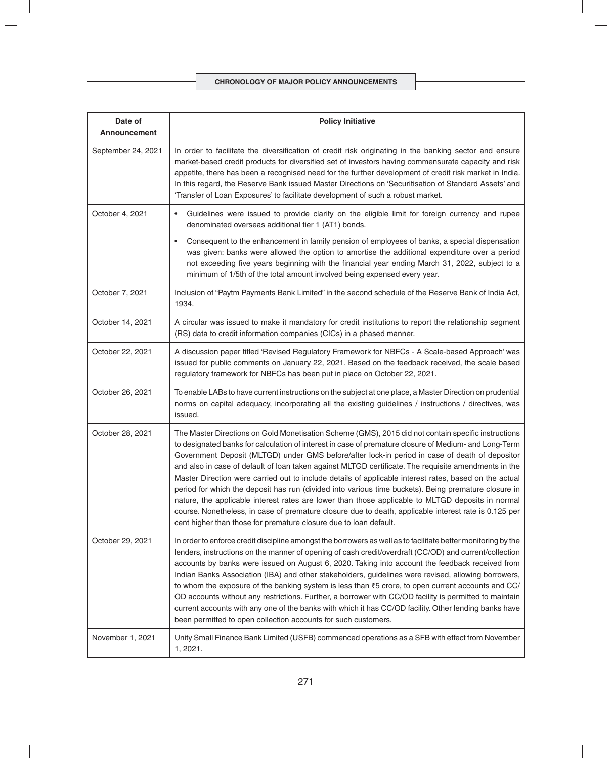| Date of<br><b>Announcement</b> | <b>Policy Initiative</b>                                                                                                                                                                                                                                                                                                                                                                                                                                                                                                                                                                                                                                                                                                                                                                                                                                                                                                    |
|--------------------------------|-----------------------------------------------------------------------------------------------------------------------------------------------------------------------------------------------------------------------------------------------------------------------------------------------------------------------------------------------------------------------------------------------------------------------------------------------------------------------------------------------------------------------------------------------------------------------------------------------------------------------------------------------------------------------------------------------------------------------------------------------------------------------------------------------------------------------------------------------------------------------------------------------------------------------------|
| September 24, 2021             | In order to facilitate the diversification of credit risk originating in the banking sector and ensure<br>market-based credit products for diversified set of investors having commensurate capacity and risk<br>appetite, there has been a recognised need for the further development of credit risk market in India.<br>In this regard, the Reserve Bank issued Master Directions on 'Securitisation of Standard Assets' and<br>'Transfer of Loan Exposures' to facilitate development of such a robust market.                                                                                                                                                                                                                                                                                                                                                                                                          |
| October 4, 2021                | Guidelines were issued to provide clarity on the eligible limit for foreign currency and rupee<br>$\bullet$<br>denominated overseas additional tier 1 (AT1) bonds.                                                                                                                                                                                                                                                                                                                                                                                                                                                                                                                                                                                                                                                                                                                                                          |
|                                | Consequent to the enhancement in family pension of employees of banks, a special dispensation<br>$\bullet$<br>was given: banks were allowed the option to amortise the additional expenditure over a period<br>not exceeding five years beginning with the financial year ending March 31, 2022, subject to a<br>minimum of 1/5th of the total amount involved being expensed every year.                                                                                                                                                                                                                                                                                                                                                                                                                                                                                                                                   |
| October 7, 2021                | Inclusion of "Paytm Payments Bank Limited" in the second schedule of the Reserve Bank of India Act,<br>1934.                                                                                                                                                                                                                                                                                                                                                                                                                                                                                                                                                                                                                                                                                                                                                                                                                |
| October 14, 2021               | A circular was issued to make it mandatory for credit institutions to report the relationship segment<br>(RS) data to credit information companies (CICs) in a phased manner.                                                                                                                                                                                                                                                                                                                                                                                                                                                                                                                                                                                                                                                                                                                                               |
| October 22, 2021               | A discussion paper titled 'Revised Regulatory Framework for NBFCs - A Scale-based Approach' was<br>issued for public comments on January 22, 2021. Based on the feedback received, the scale based<br>regulatory framework for NBFCs has been put in place on October 22, 2021.                                                                                                                                                                                                                                                                                                                                                                                                                                                                                                                                                                                                                                             |
| October 26, 2021               | To enable LABs to have current instructions on the subject at one place, a Master Direction on prudential<br>norms on capital adequacy, incorporating all the existing guidelines / instructions / directives, was<br>issued.                                                                                                                                                                                                                                                                                                                                                                                                                                                                                                                                                                                                                                                                                               |
| October 28, 2021               | The Master Directions on Gold Monetisation Scheme (GMS), 2015 did not contain specific instructions<br>to designated banks for calculation of interest in case of premature closure of Medium- and Long-Term<br>Government Deposit (MLTGD) under GMS before/after lock-in period in case of death of depositor<br>and also in case of default of loan taken against MLTGD certificate. The requisite amendments in the<br>Master Direction were carried out to include details of applicable interest rates, based on the actual<br>period for which the deposit has run (divided into various time buckets). Being premature closure in<br>nature, the applicable interest rates are lower than those applicable to MLTGD deposits in normal<br>course. Nonetheless, in case of premature closure due to death, applicable interest rate is 0.125 per<br>cent higher than those for premature closure due to loan default. |
| October 29, 2021               | In order to enforce credit discipline amongst the borrowers as well as to facilitate better monitoring by the<br>lenders, instructions on the manner of opening of cash credit/overdraft (CC/OD) and current/collection<br>accounts by banks were issued on August 6, 2020. Taking into account the feedback received from<br>Indian Banks Association (IBA) and other stakeholders, guidelines were revised, allowing borrowers,<br>to whom the exposure of the banking system is less than ₹5 crore, to open current accounts and CC/<br>OD accounts without any restrictions. Further, a borrower with CC/OD facility is permitted to maintain<br>current accounts with any one of the banks with which it has CC/OD facility. Other lending banks have<br>been permitted to open collection accounts for such customers.                                                                                                |
| November 1, 2021               | Unity Small Finance Bank Limited (USFB) commenced operations as a SFB with effect from November<br>1, 2021.                                                                                                                                                                                                                                                                                                                                                                                                                                                                                                                                                                                                                                                                                                                                                                                                                 |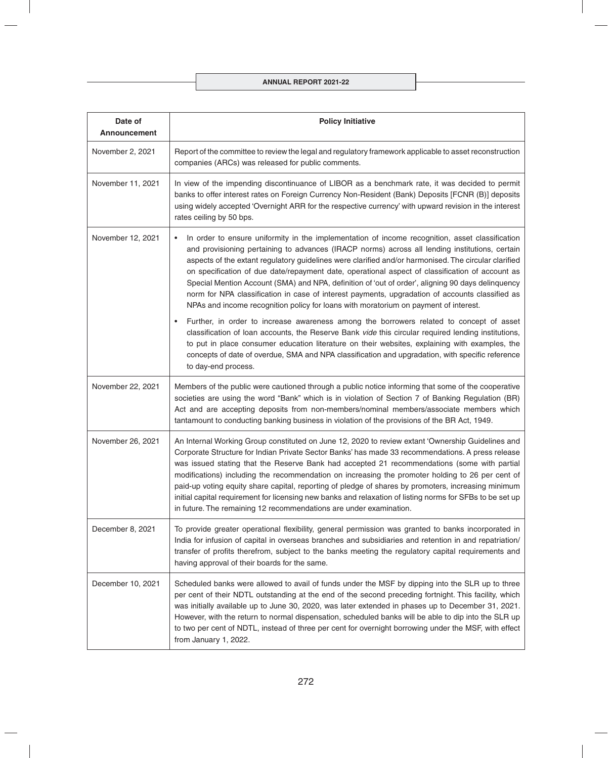| Date of<br><b>Announcement</b> | <b>Policy Initiative</b>                                                                                                                                                                                                                                                                                                                                                                                                                                                                                                                                                                                                                                                                                                  |
|--------------------------------|---------------------------------------------------------------------------------------------------------------------------------------------------------------------------------------------------------------------------------------------------------------------------------------------------------------------------------------------------------------------------------------------------------------------------------------------------------------------------------------------------------------------------------------------------------------------------------------------------------------------------------------------------------------------------------------------------------------------------|
| November 2, 2021               | Report of the committee to review the legal and regulatory framework applicable to asset reconstruction<br>companies (ARCs) was released for public comments.                                                                                                                                                                                                                                                                                                                                                                                                                                                                                                                                                             |
| November 11, 2021              | In view of the impending discontinuance of LIBOR as a benchmark rate, it was decided to permit<br>banks to offer interest rates on Foreign Currency Non-Resident (Bank) Deposits [FCNR (B)] deposits<br>using widely accepted 'Overnight ARR for the respective currency' with upward revision in the interest<br>rates ceiling by 50 bps.                                                                                                                                                                                                                                                                                                                                                                                |
| November 12, 2021              | In order to ensure uniformity in the implementation of income recognition, asset classification<br>$\bullet$<br>and provisioning pertaining to advances (IRACP norms) across all lending institutions, certain<br>aspects of the extant regulatory guidelines were clarified and/or harmonised. The circular clarified<br>on specification of due date/repayment date, operational aspect of classification of account as<br>Special Mention Account (SMA) and NPA, definition of 'out of order', aligning 90 days delinquency<br>norm for NPA classification in case of interest payments, upgradation of accounts classified as<br>NPAs and income recognition policy for loans with moratorium on payment of interest. |
|                                | Further, in order to increase awareness among the borrowers related to concept of asset<br>classification of loan accounts, the Reserve Bank vide this circular required lending institutions,<br>to put in place consumer education literature on their websites, explaining with examples, the<br>concepts of date of overdue, SMA and NPA classification and upgradation, with specific reference<br>to day-end process.                                                                                                                                                                                                                                                                                               |
| November 22, 2021              | Members of the public were cautioned through a public notice informing that some of the cooperative<br>societies are using the word "Bank" which is in violation of Section 7 of Banking Regulation (BR)<br>Act and are accepting deposits from non-members/nominal members/associate members which<br>tantamount to conducting banking business in violation of the provisions of the BR Act, 1949.                                                                                                                                                                                                                                                                                                                      |
| November 26, 2021              | An Internal Working Group constituted on June 12, 2020 to review extant 'Ownership Guidelines and<br>Corporate Structure for Indian Private Sector Banks' has made 33 recommendations. A press release<br>was issued stating that the Reserve Bank had accepted 21 recommendations (some with partial<br>modifications) including the recommendation on increasing the promoter holding to 26 per cent of<br>paid-up voting equity share capital, reporting of pledge of shares by promoters, increasing minimum<br>initial capital requirement for licensing new banks and relaxation of listing norms for SFBs to be set up<br>in future. The remaining 12 recommendations are under examination.                       |
| December 8, 2021               | To provide greater operational flexibility, general permission was granted to banks incorporated in<br>India for infusion of capital in overseas branches and subsidiaries and retention in and repatriation/<br>transfer of profits therefrom, subject to the banks meeting the regulatory capital requirements and<br>having approval of their boards for the same.                                                                                                                                                                                                                                                                                                                                                     |
| December 10, 2021              | Scheduled banks were allowed to avail of funds under the MSF by dipping into the SLR up to three<br>per cent of their NDTL outstanding at the end of the second preceding fortnight. This facility, which<br>was initially available up to June 30, 2020, was later extended in phases up to December 31, 2021.<br>However, with the return to normal dispensation, scheduled banks will be able to dip into the SLR up<br>to two per cent of NDTL, instead of three per cent for overnight borrowing under the MSF, with effect<br>from January 1, 2022.                                                                                                                                                                 |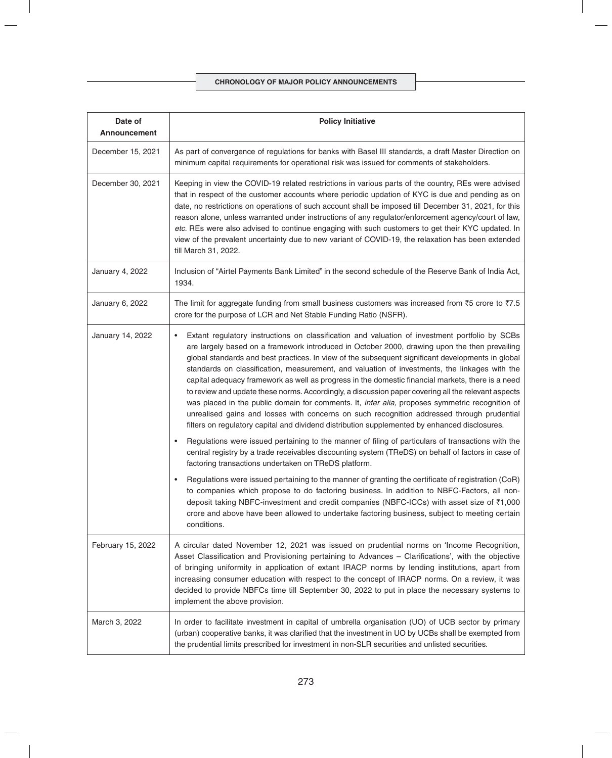| Date of<br><b>Announcement</b> | <b>Policy Initiative</b>                                                                                                                                                                                                                                                                                                                                                                                                                                                                                                                                                                                                                                                                                                                                                                                                                                                                                                                                                                                                                                                                                                                                                                                                                                                                                                                                                                                                                                                                                                                                                                                              |
|--------------------------------|-----------------------------------------------------------------------------------------------------------------------------------------------------------------------------------------------------------------------------------------------------------------------------------------------------------------------------------------------------------------------------------------------------------------------------------------------------------------------------------------------------------------------------------------------------------------------------------------------------------------------------------------------------------------------------------------------------------------------------------------------------------------------------------------------------------------------------------------------------------------------------------------------------------------------------------------------------------------------------------------------------------------------------------------------------------------------------------------------------------------------------------------------------------------------------------------------------------------------------------------------------------------------------------------------------------------------------------------------------------------------------------------------------------------------------------------------------------------------------------------------------------------------------------------------------------------------------------------------------------------------|
| December 15, 2021              | As part of convergence of regulations for banks with Basel III standards, a draft Master Direction on<br>minimum capital requirements for operational risk was issued for comments of stakeholders.                                                                                                                                                                                                                                                                                                                                                                                                                                                                                                                                                                                                                                                                                                                                                                                                                                                                                                                                                                                                                                                                                                                                                                                                                                                                                                                                                                                                                   |
| December 30, 2021              | Keeping in view the COVID-19 related restrictions in various parts of the country, REs were advised<br>that in respect of the customer accounts where periodic updation of KYC is due and pending as on<br>date, no restrictions on operations of such account shall be imposed till December 31, 2021, for this<br>reason alone, unless warranted under instructions of any regulator/enforcement agency/court of law,<br>etc. REs were also advised to continue engaging with such customers to get their KYC updated. In<br>view of the prevalent uncertainty due to new variant of COVID-19, the relaxation has been extended<br>till March 31, 2022.                                                                                                                                                                                                                                                                                                                                                                                                                                                                                                                                                                                                                                                                                                                                                                                                                                                                                                                                                             |
| January 4, 2022                | Inclusion of "Airtel Payments Bank Limited" in the second schedule of the Reserve Bank of India Act,<br>1934.                                                                                                                                                                                                                                                                                                                                                                                                                                                                                                                                                                                                                                                                                                                                                                                                                                                                                                                                                                                                                                                                                                                                                                                                                                                                                                                                                                                                                                                                                                         |
| January 6, 2022                | The limit for aggregate funding from small business customers was increased from ₹5 crore to ₹7.5<br>crore for the purpose of LCR and Net Stable Funding Ratio (NSFR).                                                                                                                                                                                                                                                                                                                                                                                                                                                                                                                                                                                                                                                                                                                                                                                                                                                                                                                                                                                                                                                                                                                                                                                                                                                                                                                                                                                                                                                |
| January 14, 2022               | Extant regulatory instructions on classification and valuation of investment portfolio by SCBs<br>are largely based on a framework introduced in October 2000, drawing upon the then prevailing<br>global standards and best practices. In view of the subsequent significant developments in global<br>standards on classification, measurement, and valuation of investments, the linkages with the<br>capital adequacy framework as well as progress in the domestic financial markets, there is a need<br>to review and update these norms. Accordingly, a discussion paper covering all the relevant aspects<br>was placed in the public domain for comments. It, inter alia, proposes symmetric recognition of<br>unrealised gains and losses with concerns on such recognition addressed through prudential<br>filters on regulatory capital and dividend distribution supplemented by enhanced disclosures.<br>Regulations were issued pertaining to the manner of filing of particulars of transactions with the<br>$\bullet$<br>central registry by a trade receivables discounting system (TReDS) on behalf of factors in case of<br>factoring transactions undertaken on TReDS platform.<br>Regulations were issued pertaining to the manner of granting the certificate of registration (CoR)<br>to companies which propose to do factoring business. In addition to NBFC-Factors, all non-<br>deposit taking NBFC-investment and credit companies (NBFC-ICCs) with asset size of ₹1,000<br>crore and above have been allowed to undertake factoring business, subject to meeting certain<br>conditions. |
| February 15, 2022              | A circular dated November 12, 2021 was issued on prudential norms on 'Income Recognition,<br>Asset Classification and Provisioning pertaining to Advances - Clarifications', with the objective<br>of bringing uniformity in application of extant IRACP norms by lending institutions, apart from<br>increasing consumer education with respect to the concept of IRACP norms. On a review, it was<br>decided to provide NBFCs time till September 30, 2022 to put in place the necessary systems to<br>implement the above provision.                                                                                                                                                                                                                                                                                                                                                                                                                                                                                                                                                                                                                                                                                                                                                                                                                                                                                                                                                                                                                                                                               |
| March 3, 2022                  | In order to facilitate investment in capital of umbrella organisation (UO) of UCB sector by primary<br>(urban) cooperative banks, it was clarified that the investment in UO by UCBs shall be exempted from<br>the prudential limits prescribed for investment in non-SLR securities and unlisted securities.                                                                                                                                                                                                                                                                                                                                                                                                                                                                                                                                                                                                                                                                                                                                                                                                                                                                                                                                                                                                                                                                                                                                                                                                                                                                                                         |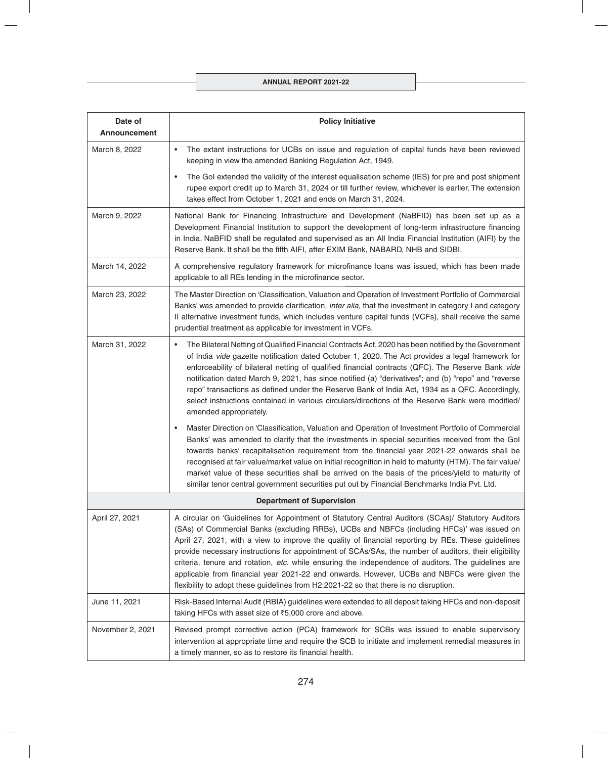| Date of<br><b>Announcement</b>   | <b>Policy Initiative</b>                                                                                                                                                                                                                                                                                                                                                                                                                                                                                                                                                                                                                                                                                      |  |
|----------------------------------|---------------------------------------------------------------------------------------------------------------------------------------------------------------------------------------------------------------------------------------------------------------------------------------------------------------------------------------------------------------------------------------------------------------------------------------------------------------------------------------------------------------------------------------------------------------------------------------------------------------------------------------------------------------------------------------------------------------|--|
| March 8, 2022                    | The extant instructions for UCBs on issue and regulation of capital funds have been reviewed<br>$\bullet$<br>keeping in view the amended Banking Regulation Act, 1949.                                                                                                                                                                                                                                                                                                                                                                                                                                                                                                                                        |  |
|                                  | The Gol extended the validity of the interest equalisation scheme (IES) for pre and post shipment<br>rupee export credit up to March 31, 2024 or till further review, whichever is earlier. The extension<br>takes effect from October 1, 2021 and ends on March 31, 2024.                                                                                                                                                                                                                                                                                                                                                                                                                                    |  |
| March 9, 2022                    | National Bank for Financing Infrastructure and Development (NaBFID) has been set up as a<br>Development Financial Institution to support the development of long-term infrastructure financing<br>in India. NaBFID shall be regulated and supervised as an All India Financial Institution (AIFI) by the<br>Reserve Bank. It shall be the fifth AIFI, after EXIM Bank, NABARD, NHB and SIDBI.                                                                                                                                                                                                                                                                                                                 |  |
| March 14, 2022                   | A comprehensive regulatory framework for microfinance loans was issued, which has been made<br>applicable to all REs lending in the microfinance sector.                                                                                                                                                                                                                                                                                                                                                                                                                                                                                                                                                      |  |
| March 23, 2022                   | The Master Direction on 'Classification, Valuation and Operation of Investment Portfolio of Commercial<br>Banks' was amended to provide clarification, inter alia, that the investment in category I and category<br>Il alternative investment funds, which includes venture capital funds (VCFs), shall receive the same<br>prudential treatment as applicable for investment in VCFs.                                                                                                                                                                                                                                                                                                                       |  |
| March 31, 2022                   | The Bilateral Netting of Qualified Financial Contracts Act, 2020 has been notified by the Government<br>$\bullet$<br>of India vide gazette notification dated October 1, 2020. The Act provides a legal framework for<br>enforceability of bilateral netting of qualified financial contracts (QFC). The Reserve Bank vide<br>notification dated March 9, 2021, has since notified (a) "derivatives"; and (b) "repo" and "reverse<br>repo" transactions as defined under the Reserve Bank of India Act, 1934 as a QFC. Accordingly,<br>select instructions contained in various circulars/directions of the Reserve Bank were modified/<br>amended appropriately.                                             |  |
|                                  | Master Direction on 'Classification, Valuation and Operation of Investment Portfolio of Commercial<br>Banks' was amended to clarify that the investments in special securities received from the Gol<br>towards banks' recapitalisation requirement from the financial year 2021-22 onwards shall be<br>recognised at fair value/market value on initial recognition in held to maturity (HTM). The fair value/<br>market value of these securities shall be arrived on the basis of the prices/yield to maturity of<br>similar tenor central government securities put out by Financial Benchmarks India Pvt. Ltd.                                                                                           |  |
| <b>Department of Supervision</b> |                                                                                                                                                                                                                                                                                                                                                                                                                                                                                                                                                                                                                                                                                                               |  |
| April 27, 2021                   | A circular on 'Guidelines for Appointment of Statutory Central Auditors (SCAs)/ Statutory Auditors<br>(SAs) of Commercial Banks (excluding RRBs), UCBs and NBFCs (including HFCs)' was issued on<br>April 27, 2021, with a view to improve the quality of financial reporting by REs. These guidelines<br>provide necessary instructions for appointment of SCAs/SAs, the number of auditors, their eligibility<br>criteria, tenure and rotation, etc. while ensuring the independence of auditors. The guidelines are<br>applicable from financial year 2021-22 and onwards. However, UCBs and NBFCs were given the<br>flexibility to adopt these guidelines from H2:2021-22 so that there is no disruption. |  |
| June 11, 2021                    | Risk-Based Internal Audit (RBIA) guidelines were extended to all deposit taking HFCs and non-deposit<br>taking HFCs with asset size of ₹5,000 crore and above.                                                                                                                                                                                                                                                                                                                                                                                                                                                                                                                                                |  |
| November 2, 2021                 | Revised prompt corrective action (PCA) framework for SCBs was issued to enable supervisory<br>intervention at appropriate time and require the SCB to initiate and implement remedial measures in<br>a timely manner, so as to restore its financial health.                                                                                                                                                                                                                                                                                                                                                                                                                                                  |  |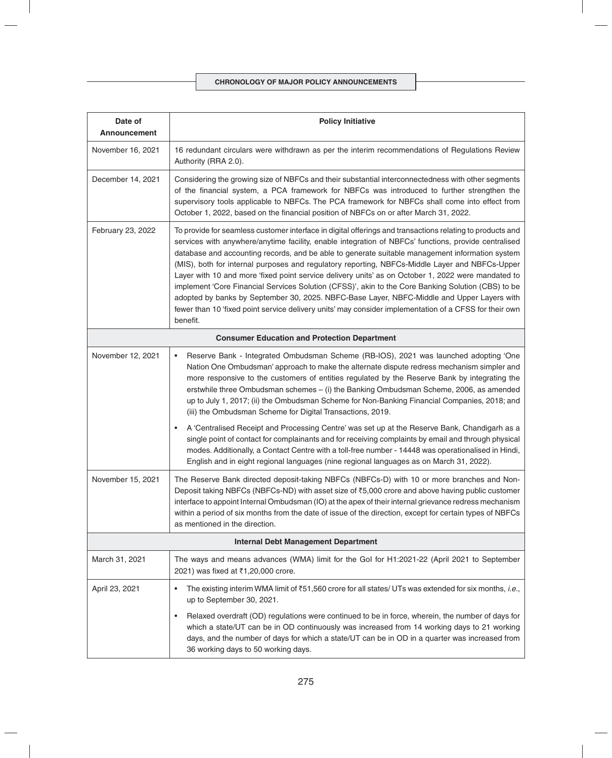| Date of<br><b>Announcement</b>                      | <b>Policy Initiative</b>                                                                                                                                                                                                                                                                                                                                                                                                                                                                                                                                                                                                                                                                                                                                                                                                                               |  |
|-----------------------------------------------------|--------------------------------------------------------------------------------------------------------------------------------------------------------------------------------------------------------------------------------------------------------------------------------------------------------------------------------------------------------------------------------------------------------------------------------------------------------------------------------------------------------------------------------------------------------------------------------------------------------------------------------------------------------------------------------------------------------------------------------------------------------------------------------------------------------------------------------------------------------|--|
| November 16, 2021                                   | 16 redundant circulars were withdrawn as per the interim recommendations of Regulations Review<br>Authority (RRA 2.0).                                                                                                                                                                                                                                                                                                                                                                                                                                                                                                                                                                                                                                                                                                                                 |  |
| December 14, 2021                                   | Considering the growing size of NBFCs and their substantial interconnectedness with other segments<br>of the financial system, a PCA framework for NBFCs was introduced to further strengthen the<br>supervisory tools applicable to NBFCs. The PCA framework for NBFCs shall come into effect from<br>October 1, 2022, based on the financial position of NBFCs on or after March 31, 2022.                                                                                                                                                                                                                                                                                                                                                                                                                                                           |  |
| February 23, 2022                                   | To provide for seamless customer interface in digital offerings and transactions relating to products and<br>services with anywhere/anytime facility, enable integration of NBFCs' functions, provide centralised<br>database and accounting records, and be able to generate suitable management information system<br>(MIS), both for internal purposes and regulatory reporting, NBFCs-Middle Layer and NBFCs-Upper<br>Layer with 10 and more 'fixed point service delivery units' as on October 1, 2022 were mandated to<br>implement 'Core Financial Services Solution (CFSS)', akin to the Core Banking Solution (CBS) to be<br>adopted by banks by September 30, 2025. NBFC-Base Layer, NBFC-Middle and Upper Layers with<br>fewer than 10 'fixed point service delivery units' may consider implementation of a CFSS for their own<br>benefit. |  |
| <b>Consumer Education and Protection Department</b> |                                                                                                                                                                                                                                                                                                                                                                                                                                                                                                                                                                                                                                                                                                                                                                                                                                                        |  |
| November 12, 2021                                   | Reserve Bank - Integrated Ombudsman Scheme (RB-IOS), 2021 was launched adopting 'One<br>$\bullet$<br>Nation One Ombudsman' approach to make the alternate dispute redress mechanism simpler and<br>more responsive to the customers of entities regulated by the Reserve Bank by integrating the<br>erstwhile three Ombudsman schemes - (i) the Banking Ombudsman Scheme, 2006, as amended<br>up to July 1, 2017; (ii) the Ombudsman Scheme for Non-Banking Financial Companies, 2018; and<br>(iii) the Ombudsman Scheme for Digital Transactions, 2019.                                                                                                                                                                                                                                                                                               |  |
|                                                     | A 'Centralised Receipt and Processing Centre' was set up at the Reserve Bank, Chandigarh as a<br>single point of contact for complainants and for receiving complaints by email and through physical<br>modes. Additionally, a Contact Centre with a toll-free number - 14448 was operationalised in Hindi,<br>English and in eight regional languages (nine regional languages as on March 31, 2022).                                                                                                                                                                                                                                                                                                                                                                                                                                                 |  |
| November 15, 2021                                   | The Reserve Bank directed deposit-taking NBFCs (NBFCs-D) with 10 or more branches and Non-<br>Deposit taking NBFCs (NBFCs-ND) with asset size of ₹5,000 crore and above having public customer<br>interface to appoint Internal Ombudsman (IO) at the apex of their internal grievance redress mechanism<br>within a period of six months from the date of issue of the direction, except for certain types of NBFCs<br>as mentioned in the direction.                                                                                                                                                                                                                                                                                                                                                                                                 |  |
| <b>Internal Debt Management Department</b>          |                                                                                                                                                                                                                                                                                                                                                                                                                                                                                                                                                                                                                                                                                                                                                                                                                                                        |  |
| March 31, 2021                                      | The ways and means advances (WMA) limit for the Gol for H1:2021-22 (April 2021 to September<br>2021) was fixed at ₹1,20,000 crore.                                                                                                                                                                                                                                                                                                                                                                                                                                                                                                                                                                                                                                                                                                                     |  |
| April 23, 2021                                      | The existing interim WMA limit of ₹51,560 crore for all states/ UTs was extended for six months, i.e.,<br>$\bullet$<br>up to September 30, 2021.                                                                                                                                                                                                                                                                                                                                                                                                                                                                                                                                                                                                                                                                                                       |  |
|                                                     | Relaxed overdraft (OD) regulations were continued to be in force, wherein, the number of days for<br>$\bullet$<br>which a state/UT can be in OD continuously was increased from 14 working days to 21 working<br>days, and the number of days for which a state/UT can be in OD in a quarter was increased from<br>36 working days to 50 working days.                                                                                                                                                                                                                                                                                                                                                                                                                                                                                                 |  |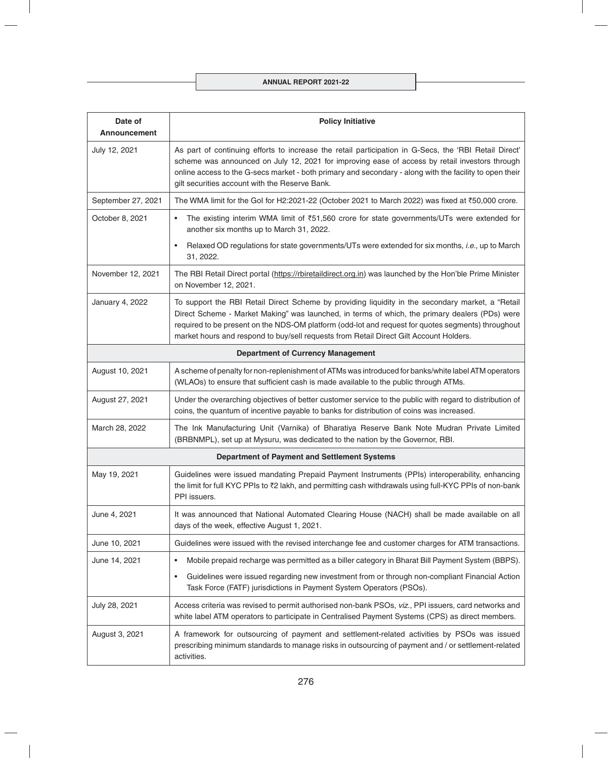| Date of<br><b>Announcement</b> | <b>Policy Initiative</b>                                                                                                                                                                                                                                                                                                                                                                            |
|--------------------------------|-----------------------------------------------------------------------------------------------------------------------------------------------------------------------------------------------------------------------------------------------------------------------------------------------------------------------------------------------------------------------------------------------------|
| July 12, 2021                  | As part of continuing efforts to increase the retail participation in G-Secs, the 'RBI Retail Direct'<br>scheme was announced on July 12, 2021 for improving ease of access by retail investors through<br>online access to the G-secs market - both primary and secondary - along with the facility to open their<br>gilt securities account with the Reserve Bank.                                |
| September 27, 2021             | The WMA limit for the Gol for H2:2021-22 (October 2021 to March 2022) was fixed at ₹50,000 crore.                                                                                                                                                                                                                                                                                                   |
| October 8, 2021                | The existing interim WMA limit of ₹51,560 crore for state governments/UTs were extended for<br>$\bullet$<br>another six months up to March 31, 2022.                                                                                                                                                                                                                                                |
|                                | Relaxed OD regulations for state governments/UTs were extended for six months, i.e., up to March<br>$\bullet$<br>31, 2022.                                                                                                                                                                                                                                                                          |
| November 12, 2021              | The RBI Retail Direct portal (https://rbiretaildirect.org.in) was launched by the Hon'ble Prime Minister<br>on November 12, 2021.                                                                                                                                                                                                                                                                   |
| January 4, 2022                | To support the RBI Retail Direct Scheme by providing liquidity in the secondary market, a "Retail<br>Direct Scheme - Market Making" was launched, in terms of which, the primary dealers (PDs) were<br>required to be present on the NDS-OM platform (odd-lot and request for quotes segments) throughout<br>market hours and respond to buy/sell requests from Retail Direct Gilt Account Holders. |
|                                | <b>Department of Currency Management</b>                                                                                                                                                                                                                                                                                                                                                            |
| August 10, 2021                | A scheme of penalty for non-replenishment of ATMs was introduced for banks/white label ATM operators<br>(WLAOs) to ensure that sufficient cash is made available to the public through ATMs.                                                                                                                                                                                                        |
| August 27, 2021                | Under the overarching objectives of better customer service to the public with regard to distribution of<br>coins, the quantum of incentive payable to banks for distribution of coins was increased.                                                                                                                                                                                               |
| March 28, 2022                 | The Ink Manufacturing Unit (Varnika) of Bharatiya Reserve Bank Note Mudran Private Limited<br>(BRBNMPL), set up at Mysuru, was dedicated to the nation by the Governor, RBI.                                                                                                                                                                                                                        |
|                                | <b>Department of Payment and Settlement Systems</b>                                                                                                                                                                                                                                                                                                                                                 |
| May 19, 2021                   | Guidelines were issued mandating Prepaid Payment Instruments (PPIs) interoperability, enhancing<br>the limit for full KYC PPIs to ₹2 lakh, and permitting cash withdrawals using full-KYC PPIs of non-bank<br>PPI issuers.                                                                                                                                                                          |
| June 4, 2021                   | It was announced that National Automated Clearing House (NACH) shall be made available on all<br>days of the week, effective August 1, 2021.                                                                                                                                                                                                                                                        |
| June 10, 2021                  | Guidelines were issued with the revised interchange fee and customer charges for ATM transactions.                                                                                                                                                                                                                                                                                                  |
| June 14, 2021                  | Mobile prepaid recharge was permitted as a biller category in Bharat Bill Payment System (BBPS).<br>$\bullet$                                                                                                                                                                                                                                                                                       |
|                                | Guidelines were issued regarding new investment from or through non-compliant Financial Action<br>$\bullet$<br>Task Force (FATF) jurisdictions in Payment System Operators (PSOs).                                                                                                                                                                                                                  |
| July 28, 2021                  | Access criteria was revised to permit authorised non-bank PSOs, viz., PPI issuers, card networks and<br>white label ATM operators to participate in Centralised Payment Systems (CPS) as direct members.                                                                                                                                                                                            |
| August 3, 2021                 | A framework for outsourcing of payment and settlement-related activities by PSOs was issued<br>prescribing minimum standards to manage risks in outsourcing of payment and / or settlement-related<br>activities.                                                                                                                                                                                   |